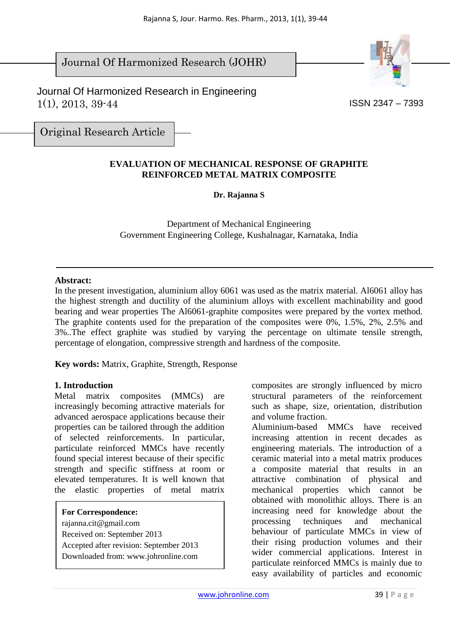Journal Of Harmonized Research in Engineering 1(1), 2013, 39-44

Journal Of Harmonized Research (JOHR)

Original Research Article

### **EVALUATION OF MECHANICAL RESPONSE OF GRAPHITE REINFORCED METAL MATRIX COMPOSITE**

Rajanna S, Jour. Harmo. Res. Pharm., 2013, 1(1), 39-44

**Dr. Rajanna S** 

Department of Mechanical Engineering Government Engineering College, Kushalnagar, Karnataka, India

#### **Abstract:**

In the present investigation, aluminium alloy 6061 was used as the matrix material. Al6061 alloy has the highest strength and ductility of the aluminium alloys with excellent machinability and good bearing and wear properties The Al6061-graphite composites were prepared by the vortex method. The graphite contents used for the preparation of the composites were 0%, 1.5%, 2%, 2.5% and 3%..The effect graphite was studied by varying the percentage on ultimate tensile strength, percentage of elongation, compressive strength and hardness of the composite.

**Key words:** Matrix, Graphite, Strength, Response

#### **1. Introduction**

Metal matrix composites (MMCs) are increasingly becoming attractive materials for advanced aerospace applications because their properties can be tailored through the addition of selected reinforcements. In particular, particulate reinforced MMCs have recently found special interest because of their specific strength and specific stiffness at room or elevated temperatures. It is well known that the elastic properties of metal matrix

**For Correspondence:** 

rajanna.cit@gmail.com Received on: September 2013 Accepted after revision: September 2013 Downloaded from: www.johronline.com

composites are strongly influenced by micro structural parameters of the reinforcement such as shape, size, orientation, distribution and volume fraction.

Aluminium-based MMCs have received increasing attention in recent decades as engineering materials. The introduction of a ceramic material into a metal matrix produces a composite material that results in an attractive combination of physical and mechanical properties which cannot be obtained with monolithic alloys. There is an increasing need for knowledge about the processing techniques and mechanical behaviour of particulate MMCs in view of their rising production volumes and their wider commercial applications. Interest in particulate reinforced MMCs is mainly due to easy availability of particles and economic





ISSN 2347 – 7393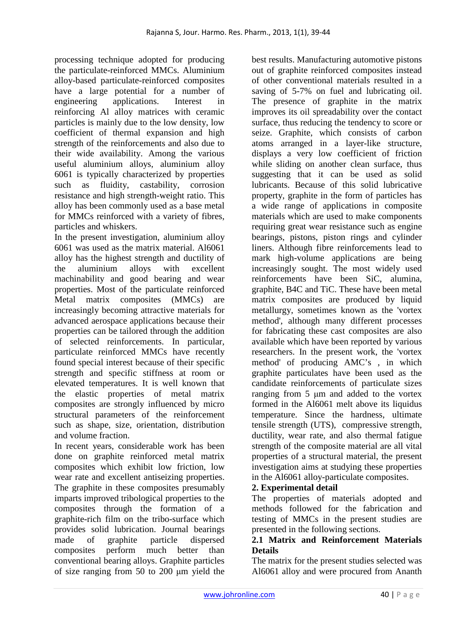processing technique adopted for producing the particulate-reinforced MMCs. Aluminium alloy-based particulate-reinforced composites have a large potential for a number of engineering applications. Interest in reinforcing Al alloy matrices with ceramic particles is mainly due to the low density, low coefficient of thermal expansion and high strength of the reinforcements and also due to their wide availability. Among the various useful aluminium alloys, aluminium alloy 6061 is typically characterized by properties such as fluidity, castability, corrosion resistance and high strength-weight ratio. This alloy has been commonly used as a base metal for MMCs reinforced with a variety of fibres, particles and whiskers.

In the present investigation, aluminium alloy 6061 was used as the matrix material. Al6061 alloy has the highest strength and ductility of the aluminium alloys with excellent machinability and good bearing and wear properties. Most of the particulate reinforced Metal matrix composites (MMCs) are increasingly becoming attractive materials for advanced aerospace applications because their properties can be tailored through the addition of selected reinforcements. In particular, particulate reinforced MMCs have recently found special interest because of their specific strength and specific stiffness at room or elevated temperatures. It is well known that the elastic properties of metal matrix composites are strongly influenced by micro structural parameters of the reinforcement such as shape, size, orientation, distribution and volume fraction.

In recent years, considerable work has been done on graphite reinforced metal matrix composites which exhibit low friction, low wear rate and excellent antiseizing properties. The graphite in these composites presumably imparts improved tribological properties to the composites through the formation of a graphite-rich film on the tribo-surface which provides solid lubrication. Journal bearings made of graphite particle dispersed composites perform much better than conventional bearing alloys. Graphite particles of size ranging from 50 to 200 µm yield the

best results. Manufacturing automotive pistons out of graphite reinforced composites instead of other conventional materials resulted in a saving of 5-7% on fuel and lubricating oil. The presence of graphite in the matrix improves its oil spreadability over the contact surface, thus reducing the tendency to score or seize. Graphite, which consists of carbon atoms arranged in a layer-like structure, displays a very low coefficient of friction while sliding on another clean surface, thus suggesting that it can be used as solid lubricants. Because of this solid lubricative property, graphite in the form of particles has a wide range of applications in composite materials which are used to make components requiring great wear resistance such as engine bearings, pistons, piston rings and cylinder liners. Although fibre reinforcements lead to mark high-volume applications are being increasingly sought. The most widely used reinforcements have been SiC, alumina, graphite, B4C and TiC. These have been metal matrix composites are produced by liquid metallurgy, sometimes known as the 'vortex method', although many different processes for fabricating these cast composites are also available which have been reported by various researchers. In the present work, the 'vortex method' of producing AMC's , in which graphite particulates have been used as the candidate reinforcements of particulate sizes ranging from 5 um and added to the vortex formed in the Al6061 melt above its liquidus temperature. Since the hardness, ultimate tensile strength (UTS), compressive strength, ductility, wear rate, and also thermal fatigue strength of the composite material are all vital properties of a structural material, the present investigation aims at studying these properties in the Al6061 alloy-particulate composites.

# **2. Experimental detail**

The properties of materials adopted and methods followed for the fabrication and testing of MMCs in the present studies are presented in the following sections.

## **2.1 Matrix and Reinforcement Materials Details**

The matrix for the present studies selected was Al6061 alloy and were procured from Ananth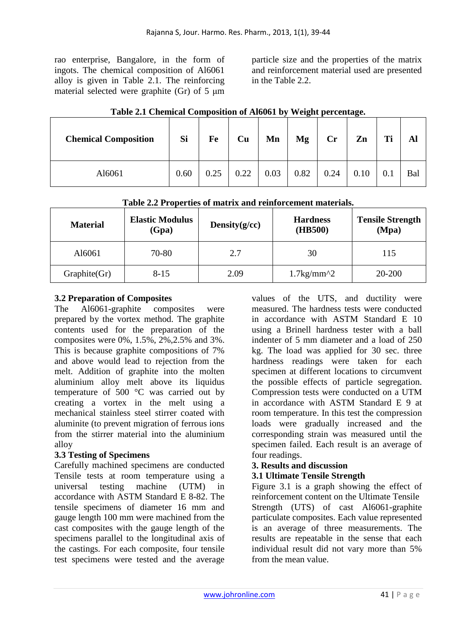rao enterprise, Bangalore, in the form of ingots. The chemical composition of Al6061 alloy is given in Table 2.1. The reinforcing material selected were graphite (Gr) of  $5 \mu m$  particle size and the properties of the matrix and reinforcement material used are presented in the Table 2.2.

| There are chemical composition of thoset by weight percentage.<br><b>Chemical Composition</b> | Si   | Fe   | Cu   | Mn   | Mg   | <b>Cr</b> | Zn   | Ti  | Al  |
|-----------------------------------------------------------------------------------------------|------|------|------|------|------|-----------|------|-----|-----|
| Al6061                                                                                        | 0.60 | 0.25 | 0.22 | 0.03 | 0.82 | 0.24      | 0.10 | 0.1 | Bal |

### **Table 2.1 Chemical Composition of Al6061 by Weight percentage.**

| Table 2.2 Properties of matrix and reinforcement materials. |
|-------------------------------------------------------------|
|-------------------------------------------------------------|

| <b>Material</b> | <b>Elastic Modulus</b><br>(Gpa) | Density $(g/cc)$ | <b>Hardness</b><br>(HB500) | <b>Tensile Strength</b><br>(Mpa) |
|-----------------|---------------------------------|------------------|----------------------------|----------------------------------|
| A16061          | 70-80                           | 2.7              | 30                         | 115                              |
| Graphite(Gr)    | $8 - 15$                        | 2.09             | $1.7\text{kg/mm}^2$        | 20-200                           |

## **3.2 Preparation of Composites**

The Al6061-graphite composites were prepared by the vortex method. The graphite contents used for the preparation of the composites were 0%, 1.5%, 2%,2.5% and 3%. This is because graphite compositions of 7% and above would lead to rejection from the melt. Addition of graphite into the molten aluminium alloy melt above its liquidus temperature of 500 °C was carried out by creating a vortex in the melt using a mechanical stainless steel stirrer coated with aluminite (to prevent migration of ferrous ions from the stirrer material into the aluminium alloy

# **3.3 Testing of Specimens**

Carefully machined specimens are conducted Tensile tests at room temperature using a universal testing machine (UTM) in accordance with ASTM Standard E 8-82. The tensile specimens of diameter 16 mm and gauge length 100 mm were machined from the cast composites with the gauge length of the specimens parallel to the longitudinal axis of the castings. For each composite, four tensile test specimens were tested and the average values of the UTS, and ductility were measured. The hardness tests were conducted in accordance with ASTM Standard E 10 using a Brinell hardness tester with a ball indenter of 5 mm diameter and a load of 250 kg. The load was applied for 30 sec. three hardness readings were taken for each specimen at different locations to circumvent the possible effects of particle segregation. Compression tests were conducted on a UTM in accordance with ASTM Standard E 9 at room temperature. In this test the compression loads were gradually increased and the corresponding strain was measured until the specimen failed. Each result is an average of four readings.

# **3. Results and discussion**

### **3.1 Ultimate Tensile Strength**

Figure 3.1 is a graph showing the effect of reinforcement content on the Ultimate Tensile Strength (UTS) of cast Al6061-graphite particulate composites. Each value represented is an average of three measurements. The results are repeatable in the sense that each individual result did not vary more than 5% from the mean value.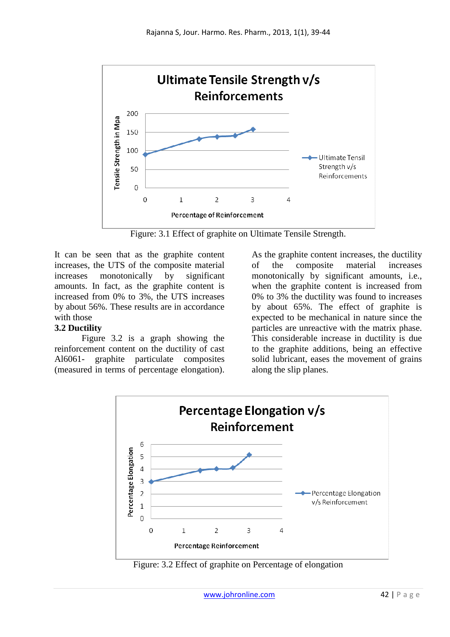

Figure: 3.1 Effect of graphite on Ultimate Tensile Strength.

It can be seen that as the graphite content increases, the UTS of the composite material increases monotonically by significant amounts. In fact, as the graphite content is increased from 0% to 3%, the UTS increases by about 56%. These results are in accordance with those

### **3.2 Ductility**

Figure 3.2 is a graph showing the reinforcement content on the ductility of cast Al6061- graphite particulate composites (measured in terms of percentage elongation).

As the graphite content increases, the ductility of the composite material increases monotonically by significant amounts, i.e., when the graphite content is increased from 0% to 3% the ductility was found to increases by about 65%. The effect of graphite is expected to be mechanical in nature since the particles are unreactive with the matrix phase. This considerable increase in ductility is due to the graphite additions, being an effective solid lubricant, eases the movement of grains along the slip planes.



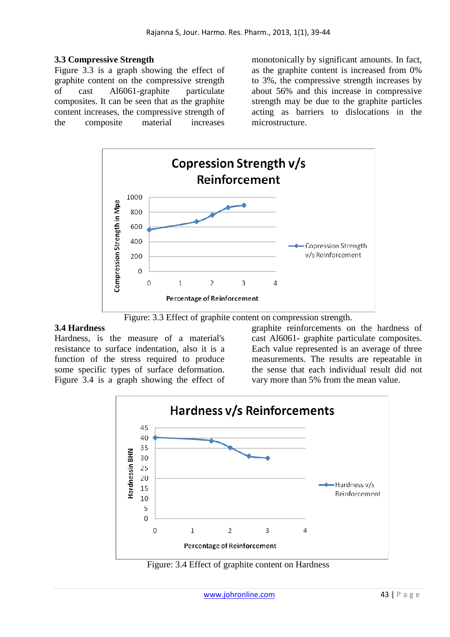### **3.3 Compressive Strength**

Figure 3.3 is a graph showing the effect of graphite content on the compressive strength of cast Al6061-graphite particulate composites. It can be seen that as the graphite content increases, the compressive strength of the composite material increases

monotonically by significant amounts. In fact, as the graphite content is increased from 0% to 3%, the compressive strength increases by about 56% and this increase in compressive strength may be due to the graphite particles acting as barriers to dislocations in the microstructure.



Figure: 3.3 Effect of graphite content on compression strength.

#### **3.4 Hardness**

Hardness, is the measure of a material's resistance to surface indentation, also it is a function of the stress required to produce some specific types of surface deformation. Figure 3.4 is a graph showing the effect of graphite reinforcements on the hardness of cast Al6061- graphite particulate composites. Each value represented is an average of three measurements. The results are repeatable in the sense that each individual result did not vary more than 5% from the mean value.



Figure: 3.4 Effect of graphite content on Hardness